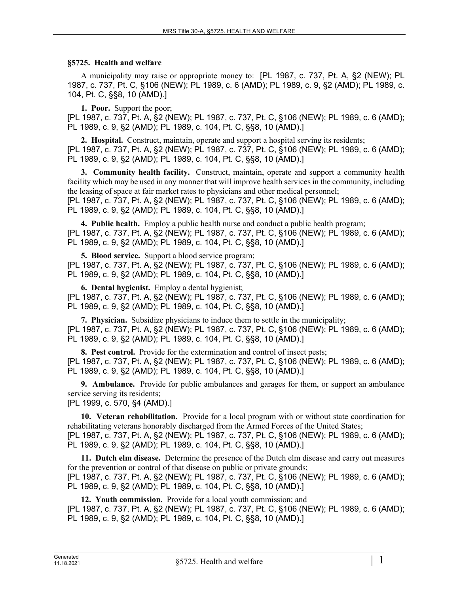## **§5725. Health and welfare**

A municipality may raise or appropriate money to: [PL 1987, c. 737, Pt. A, §2 (NEW); PL 1987, c. 737, Pt. C, §106 (NEW); PL 1989, c. 6 (AMD); PL 1989, c. 9, §2 (AMD); PL 1989, c. 104, Pt. C, §§8, 10 (AMD).]

**1. Poor.** Support the poor;

[PL 1987, c. 737, Pt. A, §2 (NEW); PL 1987, c. 737, Pt. C, §106 (NEW); PL 1989, c. 6 (AMD); PL 1989, c. 9, §2 (AMD); PL 1989, c. 104, Pt. C, §§8, 10 (AMD).]

**2. Hospital.** Construct, maintain, operate and support a hospital serving its residents; [PL 1987, c. 737, Pt. A, §2 (NEW); PL 1987, c. 737, Pt. C, §106 (NEW); PL 1989, c. 6 (AMD); PL 1989, c. 9, §2 (AMD); PL 1989, c. 104, Pt. C, §§8, 10 (AMD).]

**3. Community health facility.** Construct, maintain, operate and support a community health facility which may be used in any manner that will improve health services in the community, including the leasing of space at fair market rates to physicians and other medical personnel; [PL 1987, c. 737, Pt. A, §2 (NEW); PL 1987, c. 737, Pt. C, §106 (NEW); PL 1989, c. 6 (AMD); PL 1989, c. 9, §2 (AMD); PL 1989, c. 104, Pt. C, §§8, 10 (AMD).]

**4. Public health.** Employ a public health nurse and conduct a public health program; [PL 1987, c. 737, Pt. A, §2 (NEW); PL 1987, c. 737, Pt. C, §106 (NEW); PL 1989, c. 6 (AMD); PL 1989, c. 9, §2 (AMD); PL 1989, c. 104, Pt. C, §§8, 10 (AMD).]

**5. Blood service.** Support a blood service program;

[PL 1987, c. 737, Pt. A, §2 (NEW); PL 1987, c. 737, Pt. C, §106 (NEW); PL 1989, c. 6 (AMD); PL 1989, c. 9, §2 (AMD); PL 1989, c. 104, Pt. C, §§8, 10 (AMD).]

**6. Dental hygienist.** Employ a dental hygienist; [PL 1987, c. 737, Pt. A, §2 (NEW); PL 1987, c. 737, Pt. C, §106 (NEW); PL 1989, c. 6 (AMD); PL 1989, c. 9, §2 (AMD); PL 1989, c. 104, Pt. C, §§8, 10 (AMD).]

**7. Physician.** Subsidize physicians to induce them to settle in the municipality; [PL 1987, c. 737, Pt. A, §2 (NEW); PL 1987, c. 737, Pt. C, §106 (NEW); PL 1989, c. 6 (AMD); PL 1989, c. 9, §2 (AMD); PL 1989, c. 104, Pt. C, §§8, 10 (AMD).]

**8. Pest control.** Provide for the extermination and control of insect pests; [PL 1987, c. 737, Pt. A, §2 (NEW); PL 1987, c. 737, Pt. C, §106 (NEW); PL 1989, c. 6 (AMD); PL 1989, c. 9, §2 (AMD); PL 1989, c. 104, Pt. C, §§8, 10 (AMD).]

**9. Ambulance.** Provide for public ambulances and garages for them, or support an ambulance service serving its residents;

[PL 1999, c. 570, §4 (AMD).]

**10. Veteran rehabilitation.** Provide for a local program with or without state coordination for rehabilitating veterans honorably discharged from the Armed Forces of the United States; [PL 1987, c. 737, Pt. A, §2 (NEW); PL 1987, c. 737, Pt. C, §106 (NEW); PL 1989, c. 6 (AMD); PL 1989, c. 9, §2 (AMD); PL 1989, c. 104, Pt. C, §§8, 10 (AMD).]

**11. Dutch elm disease.** Determine the presence of the Dutch elm disease and carry out measures for the prevention or control of that disease on public or private grounds; [PL 1987, c. 737, Pt. A, §2 (NEW); PL 1987, c. 737, Pt. C, §106 (NEW); PL 1989, c. 6 (AMD); PL 1989, c. 9, §2 (AMD); PL 1989, c. 104, Pt. C, §§8, 10 (AMD).]

**12. Youth commission.** Provide for a local youth commission; and [PL 1987, c. 737, Pt. A, §2 (NEW); PL 1987, c. 737, Pt. C, §106 (NEW); PL 1989, c. 6 (AMD); PL 1989, c. 9, §2 (AMD); PL 1989, c. 104, Pt. C, §§8, 10 (AMD).]